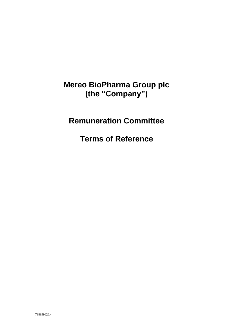## **Mereo BioPharma Group plc (the "Company")**

# **Remuneration Committee**

**Terms of Reference**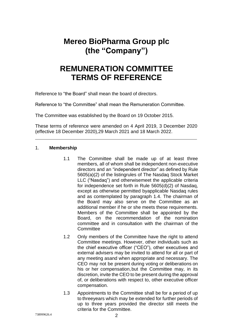## **Mereo BioPharma Group plc (the "Company")**

### **REMUNERATION COMMITTEE TERMS OF REFERENCE**

Reference to "the Board" shall mean the board of directors.

Reference to "the Committee" shall mean the Remuneration Committee.

The Committee was established by the Board on 19 October 2015.

These terms of reference were amended on 4 April 2019, 3 December 2020 (effective 18 December 2020),29 March 2021 and 18 March 2022.

#### 1. **Membership**

- 1.1 The Committee shall be made up of at least three members, all of whom shall be independent non-executive directors and an "independent director" as defined by Rule 5605(a)(2) of the listingrules of The Nasdaq Stock Market LLC ("Nasdaq") and otherwisemeet the applicable criteria for independence set forth in Rule 5605(d)(2) of Nasdaq, except as otherwise permitted byapplicable Nasdaq rules and as contemplated by paragraph 1.4. The chairman of the Board may also serve on the Committee as an additional member if he or she meets these requirements. Members of the Committee shall be appointed by the Board, on the recommendation of the nomination committee and in consultation with the chairman of the **Committee**
- 1.2 Only members of the Committee have the right to attend Committee meetings. However, other individuals such as the chief executive officer ("CEO"), other executives and external advisers may be invited to attend for all or part of any meeting asand when appropriate and necessary. The CEO may not be present during voting or deliberations on his or her compensation, but the Committee may, in its discretion, invite the CEO to be present during the approval of, or deliberations with respect to, other executive officer compensation.
- 1.3 Appointments to the Committee shall be for a period of up to threeyears which may be extended for further periods of up to three years provided the director still meets the criteria for the Committee.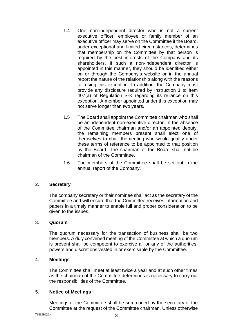- 1.4 One non-independent director who is not a current executive officer, employee or family member of an executive officer may serve on the Committee if the Board, under exceptional and limited circumstances, determines that membership on the Committee by that person is required by the best interests of the Company and its shareholders. If such a non-independent director is appointed in this manner, they should be identified either on or through the Company's website or in the annual report the nature of the relationship along with the reasons for using this exception. In addition, the Company must provide any disclosure required by Instruction 1 to Item 407(a) of Regulation S-K regarding its reliance on this exception. A member appointed under this exception may not serve longer than two years.
- 1.5 The Board shall appoint the Committee chairman who shall be anindependent non-executive director. In the absence of the Committee chairman and/or an appointed deputy, the remaining members present shall elect one of themselves to chair themeeting who would qualify under these terms of reference to be appointed to that position by the Board. The chairman of the Board shall not be chairman of the Committee.
- 1.6 The members of the Committee shall be set out in the annual report of the Company.

### 2. **Secretary**

The company secretary or their nominee shall act as the secretary of the Committee and will ensure that the Committee receives information and papers in a timely manner to enable full and proper consideration to be given to the issues.

#### 3. **Quorum**

The quorum necessary for the transaction of business shall be two members. A duly convened meeting of the Committee at which a quorum is present shall be competent to exercise all or any of the authorities, powers and discretions vested in or exercisable by the Committee.

#### 4. **Meetings**

The Committee shall meet at least twice a year and at such other times as the chairman of the Committee determines is necessary to carry out the responsibilities of the Committee.

#### 5. **Notice of Meetings**

Meetings of the Committee shall be summoned by the secretary of the Committee at the request of the Committee chairman. Unless otherwise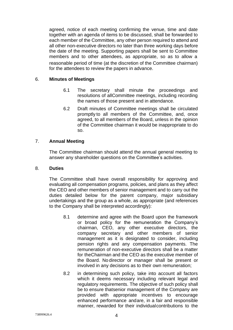agreed, notice of each meeting confirming the venue, time and date together with an agenda of items to be discussed, shall be forwarded to each member of the Committee, any other person required to attend and all other non-executive directors no later than three working days before the date of the meeting. Supporting papers shall be sent to Committee members and to other attendees, as appropriate, so as to allow a reasonable period of time (at the discretion of the Committee chairman) for the attendees to review the papers in advance.

#### 6. **Minutes of Meetings**

- 6.1 The secretary shall minute the proceedings and resolutions of allCommittee meetings, including recording the names of those present and in attendance.
- 6.2 Draft minutes of Committee meetings shall be circulated promptly to all members of the Committee, and, once agreed, to all members of the Board, unless in the opinion of the Committee chairman it would be inappropriate to do so.

#### 7. **Annual Meeting**

The Committee chairman should attend the annual general meeting to answer any shareholder questions on the Committee's activities.

#### 8. **Duties**

The Committee shall have overall responsibility for approving and evaluating all compensation programs, policies, and plans as they affect the CEO and other members of senior management and to carry out the duties detailed below for the parent company, major subsidiary undertakings and the group as a whole, as appropriate (and references to the Company shall be interpreted accordingly):

- 8.1 determine and agree with the Board upon the framework or broad policy for the remuneration the Company's chairman, CEO, any other executive directors, the company secretary and other members of senior management as it is designated to consider, including pension rights and any compensation payments. The remuneration of non-executive directors shall be a matter for theChairman and the CEO as the executive member of the Board. No director or manager shall be present or involved in any decisions as to their own remuneration;
- 8.2 in determining such policy, take into account all factors which it deems necessary including relevant legal and regulatory requirements. The objective of such policy shall be to ensure thatsenior management of the Company are provided with appropriate incentives to encourage enhanced performance andare, in a fair and responsible manner, rewarded for their individualcontributions to the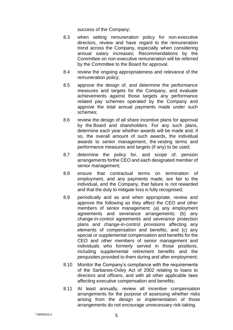success of the Company;

- 8.3 when setting remuneration policy for non-executive directors, review and have regard to the remuneration trend across the Company, especially when considering annual salary increases; Recommendations by the Committee on non-executive remuneration will be referred by the Committee to the Board for approval.
- 8.4 review the ongoing appropriateness and relevance of the remuneration policy;
- 8.5 approve the design of, and determine the performance measures and targets for the Company, and evaluate achievements against those targets any performance related pay schemes operated by the Company and approve the total annual payments made under such schemes;
- 8.6 review the design of all share incentive plans for approval by the Board and shareholders. For any such plans, determine each year whether awards will be made and, if so, the overall amount of such awards, the individual awards to senior management, the vesting terms and performance measures and targets (if any) to be used;
- 8.7 determine the policy for, and scope of, pension arrangements forthe CEO and each designated member of senior management;
- 8.8 ensure that contractual terms on termination of employment, and any payments made, are fair to the individual, and the Company, that failure is not rewarded and that the duty to mitigate loss is fully recognised;
- 8.9 periodically and as and when appropriate, review and approve the following as they affect the CEO and other members of senior management: (a) any employment agreements and severance arrangements; (b) any change-in-control agreements and severance protection plans and change-in-control provisions affecting any elements of compensation and benefits; and (c) any special or supplemental compensation and benefits for the CEO and other members of senior management and individuals who formerly served in those positions, including supplemental retirement benefits and the perquisites provided to them during and after employment;
- 8.10 Monitor the Company's compliance with the requirements of the Sarbanes-Oxley Act of 2002 relating to loans to directors and officers, and with all other applicable laws affecting executive compensation and benefits;
- 8.11 At least annually, review all incentive compensation arrangements for the purpose of assessing whether risks arising from the design or implementation of those arrangements do not encourage unnecessary risk-taking.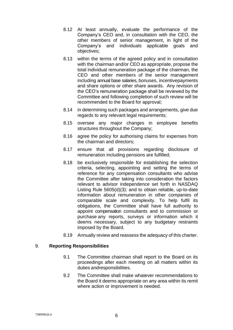- 8.12 At least annually, evaluate the performance of the Company's CEO and, in consultation with the CEO, the other members of senior management, in light of the Company's and individuals applicable goals and objectives;
- 8.13 within the terms of the agreed policy and in consultation with the chairman and/or CEO as appropriate, propose the total individual remuneration package of the chairman, the CEO and other members of the senior management including annual base salaries, bonuses, incentivepayments and share options or other share awards. Any revision of the CEO's remuneration package shall be reviewed by the Committee and following completion of such review will be recommended to the Board for approval;
- 8.14 in determining such packages and arrangements, give due regards to any relevant legal requirements;
- 8.15 oversee any major changes in employee benefits structures throughout the Company;
- 8.16 agree the policy for authorising claims for expenses from the chairman and directors;
- 8.17 ensure that all provisions regarding disclosure of remuneration including pensions are fulfilled;
- 8.18 be exclusively responsible for establishing the selection criteria, selecting, appointing and setting the terms of reference for any compensation consultants who advise the Committee after taking into consideration the factors relevant to advisor independence set forth in NASDAQ Listing Rule 5605(d)(3): and to obtain reliable, up-to-date information about remuneration in other companies of comparable scale and complexity. To help fulfil its obligations, the Committee shall have full authority to appoint compensation consultants and to commission or purchase any reports, surveys or information which it deems necessary, subject to any budgetary restraints imposed by the Board.
- 8.19 Annually review and reassess the adequacy of this charter.

#### 9. **Reporting Responsibilities**

- 9.1 The Committee chairman shall report to the Board on its proceedings after each meeting on all matters within its duties andresponsibilities.
- 9.2 The Committee shall make whatever recommendations to the Board it deems appropriate on any area within its remit where action or improvement is needed.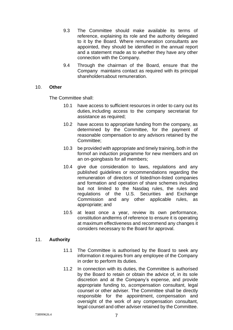- 9.3 The Committee should make available its terms of reference, explaining its role and the authority delegated to it by the Board. Where remuneration consultants are appointed, they should be identified in the annual report and a statement made as to whether they have any other connection with the Company.
- 9.4 Through the chairman of the Board, ensure that the Company maintains contact as required with its principal shareholders about remuneration.

#### 10. **Other**

The Committee shall:

- 10.1 have access to sufficient resources in order to carry out its duties, including access to the company secretariat for assistance as required;
- 10.2 have access to appropriate funding from the company, as determined by the Committee, for the payment of reasonable compensation to any advisors retained by the Committee;
- 10.3 be provided with appropriate and timely training, both in the formof an induction programme for new members and on an on-goingbasis for all members;
- 10.4 give due consideration to laws, regulations and any published guidelines or recommendations regarding the remuneration of directors of listed/non-listed companies and formation and operation of share schemes including but not limited to the Nasdaq rules, the rules and regulations of the U.S. Securities and Exchange Commission and any other applicable rules, as appropriate; and
- 10.5 at least once a year, review its own performance, constitution andterms of reference to ensure it is operating at maximum effectiveness and recommend any changes it considers necessary to the Board for approval.

#### 11. **Authority**

- 11.1 The Committee is authorised by the Board to seek any information it requires from any employee of the Company in order to perform its duties.
- 11.2 In connection with its duties, the Committee is authorised by the Board to retain or obtain the advice of, in its sole discretion and at the Company's expense, and provide appropriate funding to, acompensation consultant, legal counsel or other adviser. The Committee shall be directly responsible for the appointment, compensation and oversight of the work of any compensation consultant, legal counsel and other adviser retained by the Committee.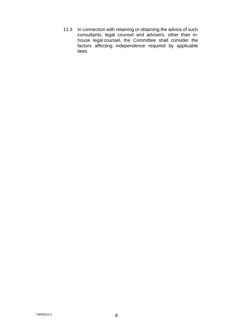11.3 In connection with retaining or obtaining the advice of such consultants, legal counsel and advisers, other than inhouse legal counsel, the Committee shall consider the factors affecting independence required by applicable laws.